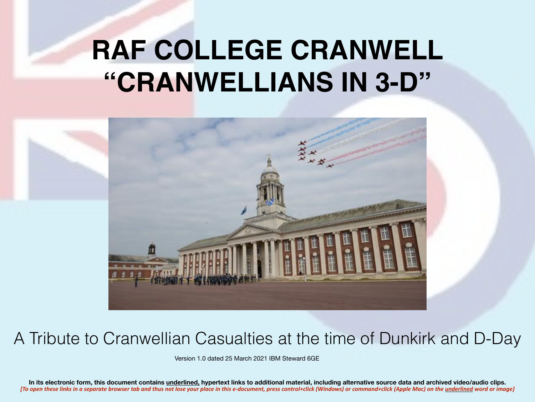# **RAF COLLEGE CRANWELL "CRANWELLIANS IN 3-D"**



#### A Tribute to Cranwellian Casualties at the time of Dunkirk and D-Day

Version 1.0 dated 25 March 2021 IBM Steward 6GE

**In its electronic form, this document contains underlined, hypertext links to additional material, including alternative source data and archived video/audio clips.**  *[To open these links in a separate browser tab and thus not lose your place in this e-document, press control+click (Windows) or command+click (Apple Mac) on the underlined word or image]*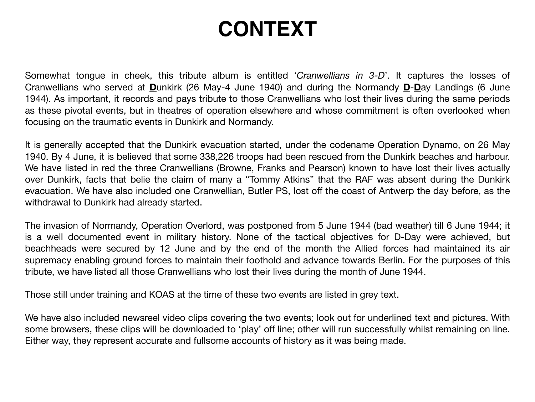### **CONTEXT**

Somewhat tongue in cheek, this tribute album is entitled '*Cranwellians in 3-D*'. It captures the losses of Cranwellians who served at **D**unkirk (26 May-4 June 1940) and during the Normandy **D**-**D**ay Landings (6 June 1944). As important, it records and pays tribute to those Cranwellians who lost their lives during the same periods as these pivotal events, but in theatres of operation elsewhere and whose commitment is often overlooked when focusing on the traumatic events in Dunkirk and Normandy.

It is generally accepted that the Dunkirk evacuation started, under the codename Operation Dynamo, on 26 May 1940. By 4 June, it is believed that some 338,226 troops had been rescued from the Dunkirk beaches and harbour. We have listed in red the three Cranwellians (Browne, Franks and Pearson) known to have lost their lives actually over Dunkirk, facts that belie the claim of many a "Tommy Atkins" that the RAF was absent during the Dunkirk evacuation. We have also included one Cranwellian, Butler PS, lost off the coast of Antwerp the day before, as the withdrawal to Dunkirk had already started.

The invasion of Normandy, Operation Overlord, was postponed from 5 June 1944 (bad weather) till 6 June 1944; it is a well documented event in military history. None of the tactical objectives for D-Day were achieved, but beachheads were secured by 12 June and by the end of the month the Allied forces had maintained its air supremacy enabling ground forces to maintain their foothold and advance towards Berlin. For the purposes of this tribute, we have listed all those Cranwellians who lost their lives during the month of June 1944.

Those still under training and KOAS at the time of these two events are listed in grey text.

We have also included newsreel video clips covering the two events; look out for underlined text and pictures. With some browsers, these clips will be downloaded to 'play' off line; other will run successfully whilst remaining on line. Either way, they represent accurate and fullsome accounts of history as it was being made.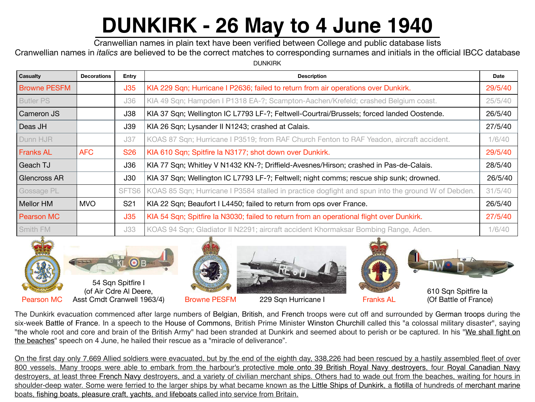# **[DUNKIRK - 26 May to 4 June 1940](https://youtu.be/T7O7BtBnsG4)**

Cranwellian names in plain text have been verified between College and public database lists

Cranwellian names in *italics* are believed to be the correct matches to corresponding surnames and initials in the official IBCC database

DUNKIRK

| <b>Casualty</b>     | <b>Decorations</b> | <b>Entry</b>      | <b>Description</b>                                                                                | <b>Date</b> |
|---------------------|--------------------|-------------------|---------------------------------------------------------------------------------------------------|-------------|
| <b>Browne PESFM</b> |                    | J35               | KIA 229 Sqn; Hurricane I P2636; failed to return from air operations over Dunkirk.                | 29/5/40     |
| <b>Butler PS</b>    |                    | J36               | KIA 49 Sqn; Hampden I P1318 EA-?; Scampton-Aachen/Krefeld; crashed Belgium coast.                 | 25/5/40     |
| <b>Cameron JS</b>   |                    | J38               | KIA 37 Sqn; Wellington IC L7793 LF-?; Feltwell-Courtrai/Brussels; forced landed Oostende.         | 26/5/40     |
| Deas JH             |                    | <b>J39</b>        | KIA 26 Sqn; Lysander II N1243; crashed at Calais.                                                 | 27/5/40     |
| Dunn HJR            |                    | J37               | KOAS 87 Sqn; Hurricane I P3519; from RAF Church Fenton to RAF Yeadon, aircraft accident.          | 1/6/40      |
| <b>Franks AL</b>    | <b>AFC</b>         | <b>S26</b>        | KIA 610 Sqn; Spitfire la N3177; shot down over Dunkirk.                                           | 29/5/40     |
| Geach TJ            |                    | J36               | KIA 77 Sqn; Whitley V N1432 KN-?; Driffield-Avesnes/Hirson; crashed in Pas-de-Calais.             | 28/5/40     |
| <b>Glencross AR</b> |                    | J30               | KIA 37 Sqn; Wellington IC L7793 LF-?; Feltwell; night comms; rescue ship sunk; drowned.           | 26/5/40     |
| Gossage PL          |                    | SFT <sub>S6</sub> | KOAS 85 Sqn; Hurricane I P3584 stalled in practice dogfight and spun into the ground W of Debden. | 31/5/40     |
| <b>Mellor HM</b>    | <b>MVO</b>         | S <sub>21</sub>   | KIA 22 Sqn; Beaufort I L4450; failed to return from ops over France.                              | 26/5/40     |
| <b>Pearson MC</b>   |                    | J35               | KIA 54 Sqn; Spitfire la N3030; failed to return from an operational flight over Dunkirk.          | 27/5/40     |
| Smith FM            |                    | J33               | KOAS 94 Sqn; Gladiator II N2291; aircraft accident Khormaksar Bombing Range, Aden.                | 1/6/40      |





(of Air Cdre Al Deere,

Pearson MC Asst Cmdt Cranwell 1963/4) Browne PESFM 229 Sqn Hurricane I Franks AL





610 Sqn Spitfire Ia (Of Battle of France)

The Dunkirk evacuation commenced after large numbers of Belgian, British, and French troops were cut off and surrounded by German troops during the six-week Battle of France. In a speech to the House of Commons, British Prime Minister Winston Churchill called this "a colossal military disaster", saying "the whole root and core and brain of the British Army" had been stranded at Dunkirk and seemed about to perish or be captured. In his "We shall fight on the beaches" speech on 4 June, he hailed their rescue as a "miracle of deliverance".

[On the first day only 7,669 Allied soldiers were evacuated, but by the end of the eighth day, 338,226 had been rescued by a hastily assembled fleet of over](https://youtu.be/1Okt_YrKPdw)  800 vessels. Many troops were able to embark from the harbour's protective mole onto 39 British Royal Navy destroyers, four Royal Canadian Navy destroyers, at least three French Navy destroyers, and a variety of civilian merchant ships. Others had to wade out from the beaches, waiting for hours in shoulder-deep water. Some were ferried to the larger ships by what became known as the Little Ships of Dunkirk, a flotilla of hundreds of merchant marine boats, fishing boats, pleasure craft, yachts, and lifeboats called into service from Britain.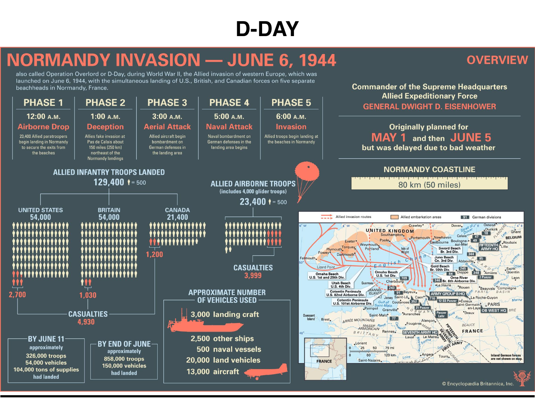### **D-DAY**

#### **NORMANDY INVASION — JUNE 6, 1944**

**OVERVIEW** 

**Commander of the Supreme Headquarters** 

also called Operation Overlord or D-Day, during World War II, the Allied invasion of western Europe, which was launched on June 6, 1944, with the simultaneous landing of U.S., British, and Canadian forces on five separate beachheads in Normandy, France.